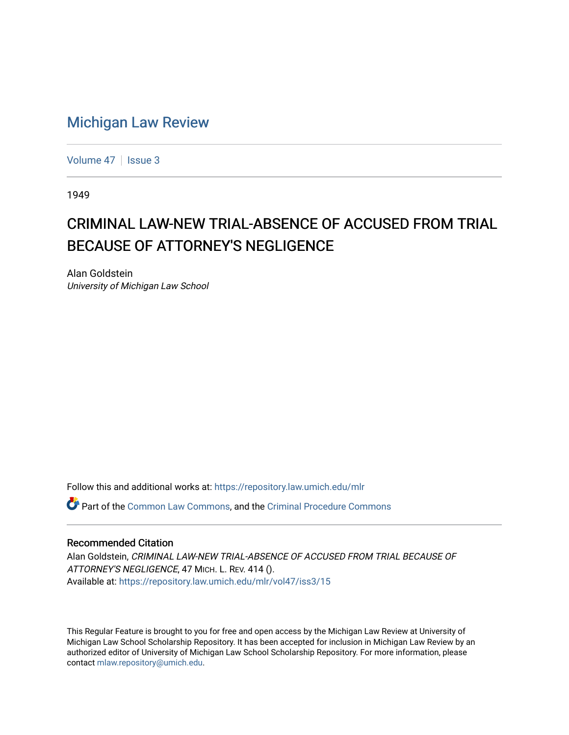## [Michigan Law Review](https://repository.law.umich.edu/mlr)

[Volume 47](https://repository.law.umich.edu/mlr/vol47) | [Issue 3](https://repository.law.umich.edu/mlr/vol47/iss3)

1949

## CRIMINAL LAW-NEW TRIAL-ABSENCE OF ACCUSED FROM TRIAL BECAUSE OF ATTORNEY'S NEGLIGENCE

Alan Goldstein University of Michigan Law School

Follow this and additional works at: [https://repository.law.umich.edu/mlr](https://repository.law.umich.edu/mlr?utm_source=repository.law.umich.edu%2Fmlr%2Fvol47%2Fiss3%2F15&utm_medium=PDF&utm_campaign=PDFCoverPages) 

Part of the [Common Law Commons,](http://network.bepress.com/hgg/discipline/1120?utm_source=repository.law.umich.edu%2Fmlr%2Fvol47%2Fiss3%2F15&utm_medium=PDF&utm_campaign=PDFCoverPages) and the [Criminal Procedure Commons](http://network.bepress.com/hgg/discipline/1073?utm_source=repository.law.umich.edu%2Fmlr%2Fvol47%2Fiss3%2F15&utm_medium=PDF&utm_campaign=PDFCoverPages)

## Recommended Citation

Alan Goldstein, CRIMINAL LAW-NEW TRIAL-ABSENCE OF ACCUSED FROM TRIAL BECAUSE OF ATTORNEY'S NEGLIGENCE, 47 MICH. L. REV. 414 (). Available at: [https://repository.law.umich.edu/mlr/vol47/iss3/15](https://repository.law.umich.edu/mlr/vol47/iss3/15?utm_source=repository.law.umich.edu%2Fmlr%2Fvol47%2Fiss3%2F15&utm_medium=PDF&utm_campaign=PDFCoverPages) 

This Regular Feature is brought to you for free and open access by the Michigan Law Review at University of Michigan Law School Scholarship Repository. It has been accepted for inclusion in Michigan Law Review by an authorized editor of University of Michigan Law School Scholarship Repository. For more information, please contact [mlaw.repository@umich.edu](mailto:mlaw.repository@umich.edu).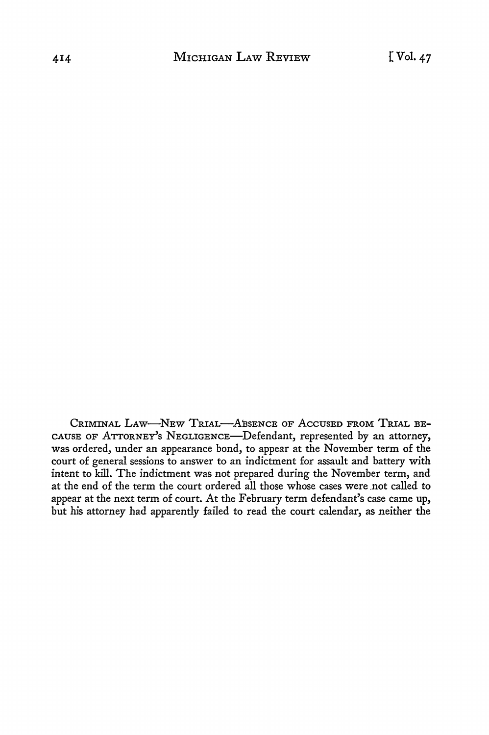CRIMINAL LAW-NEW TRIAL-ABSENCE OF ACCUSED FROM TRIAL BE-CAUSE OF ATTORNE'Y's NEGLIGENCE-Defendant, represented by an attorney, was ordered, under an appearance bond, to appear at the November term of the court of general sessions to answer to an indictment for assault and battery with intent to kill. The indictment was not prepared during the November term, and at the end of the term the court ordered all those whose cases were not called to appear at the next term of court. At the February term defendant's case came up, but his attorney had apparently failed to read the court calendar, as neither the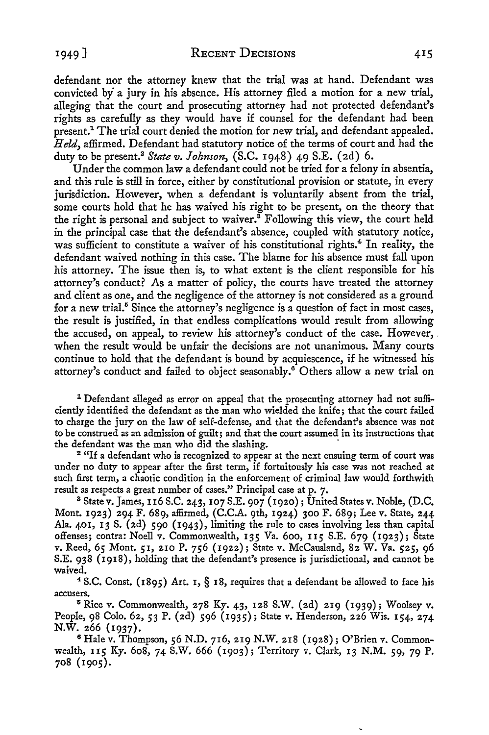1949] RECENT DECISIONS

defendant nor the attorney knew that the trial was at hand. Defendant was convicted by· a jury in his absence. His attorney filed a motion for a new trial, alleging that the court and prosecuting attorney had not protected defendant's rights as carefully as they would have if counsel for the defendant had been present.<sup>1</sup> The trial court denied the motion for new trial, and defendant appealed. *Held,* affirmed. Defendant had statutory notice of the terms of court and had the duty to be present.<sup>2</sup>*State v. lohnson,* (S.C. 1948) 49 S.E. (2d) 6.

Under the common law a defendant could not be tried for a felony in absentia, and this rule is still in force, either by constitutional provision or statute, in every jurisdiction. However, when a defendant is voluntarily absent from the trial, some courts hold that he has waived his right to be present, on the theory that the right is personal and subject to waiver.<sup>8</sup> Following this view, the court held in the principal case that the defendant's absence, coupled with statutory notice, was sufficient to constitute a waiver of his constitutional rights.<sup>4</sup> In reality, the defendant waived nothing in this case. The blame for his absence must fall upon his attorney. The issue then is, to what extent is the client responsible for his attorney's conduct? As a matter of policy, the courts have treated the attorney and client as one, and the negligence of the attorney is not considered as a ground for a new trial.<sup>5</sup> Since the attorney's negligence is a question of fact in most cases, the result is justified, in that endless complications would result from allowing the accused, on appeal, to review his attorney's conduct of the case. However, . when the result would be unfair the decisions are not unanimous. Many courts continue to hold that the defendant is bound by acquiescence, if he witnessed his attorney's conduct and failed to object seasonably.<sup>6</sup> Others allow a new trial on

<sup>1</sup> Defendant alleged as error on appeal that the prosecuting attorney had not sufficiently identified the defendant as the man who wielded the knife; that the court failed to charge the jury on the law of self-defense, and that the defendant's absence was not to be construed as an admission of guilt; and that the court assumed in its instructions that the defendant was the man who did the slashing.<br><sup>2</sup> "If a defendant who is recognized to appear at the next ensuing term of court was

under no duty to appear after the first term, if fortuitously his case was not reached at such first term, a chaotic condition in the enforcement of criminal law would forthwith result as respects a great number of cases." Principal case at p. 7.

 $8$  State v. James, 116 S.C. 243, 107 S.E. 907 (1920); United States v. Noble, (D.C. Mont. 1923) 294 F. 689, affirmed, (C.C.A. 9th, 1924) 300 F. 689; Lee v. State, 244 Ala. 401, 13 S. (2d) 590 (1943), limiting the rule to cases involving less than capital offenses; contra: Noell *v.* Commonwealth, 135 Va. 600, 115 S.E. 679 (1923); State *v.* Reed, *65* Mont. 51, 210 P. 756 (1922); State v. McCausland, 82 W. Va. *525,* 96 S.E. 938 (1918), holding that the defendant's presence is jurisdictional, and cannot be waived.

<sup>4</sup>S.C. Const. (1895) Art. 1, § 18, requires that a defendant be allowed to face his accusers.

 $5$  Rice v. Commonwealth, 278 Ky. 43, 128 S.W. (2d) 219 (1939); Woolsey v. People, 98 Colo. 62, 53 P. (2d) 596 (1935); State v. Henderson, 226 Wis. 154, 274 N.W. 266 (1937).

6 Hale v. Thompson, 56 N.D. 716, 219 N.W. 218 (1928); O'Brien v. Commonwealth, 115 Ky. 608, 74 S.W. 666 (1903); Territory *v.* Clark, 13 N.M. 59, 79 P. 708 (1905).